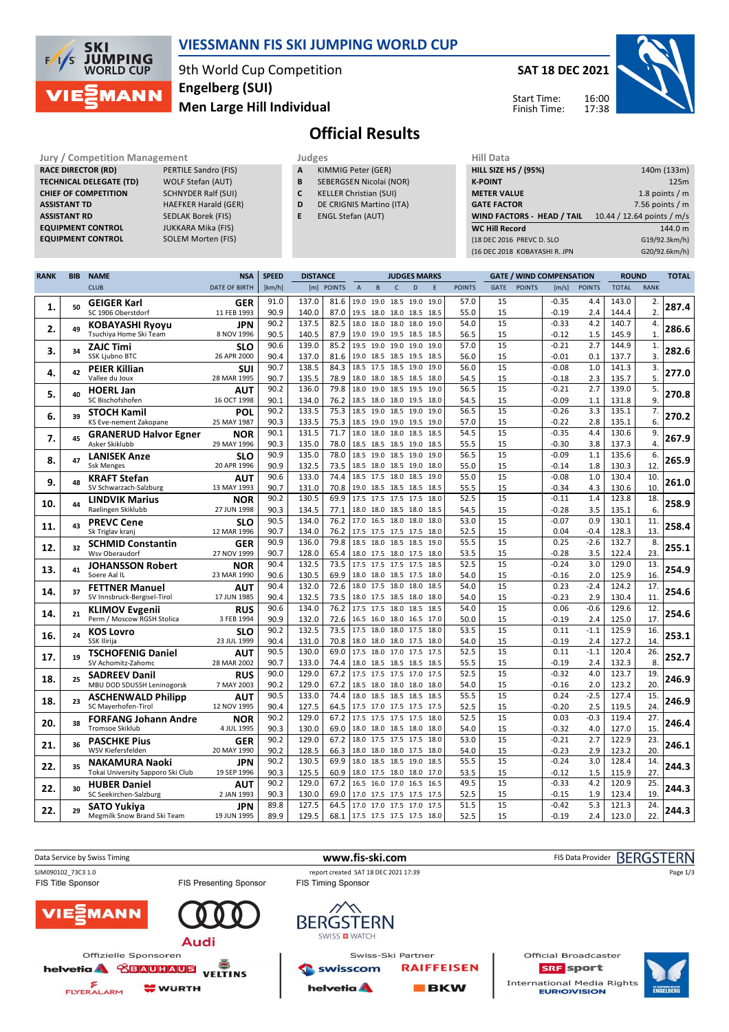

## **VIESSMANN FIS SKI JUMPING WORLD CUP**

9th World Cup Competition **Men Large Hill Individual Engelberg (SUI)**

**SAT 18 DEC 2021** 16:00 17:38 Start Time: Finish Time:



# **Official Results**

**Jury / Competition Management Judges Judges Hill Data**<br> **RACE DIRECTOR (RD)** PERTILE Sandro (FIS) **A** KIMMIG Peter (GER) **HILL SIZE H RACE DIRECTOR (RD) TECHNICAL DELEGATE (TD)** WOLF Stefan (AUT) **CHIEF OF COMPETITION** SCHNYDER Ralf (SUI) **ASSISTANT TD** HAEFKER Harald (GER) **ASSISTANT RD** SEDLAK Borek (FIS)<br>**EQUIPMENT CONTROL** JUKKARA Mika (FIS) **EQUIPMENT CONTROL** 

**EQUIPMENT CONTROL** JUKKARA Mika (FIS)

- **A** KIMMIG Peter (GER) **B** SEBERGSEN Nicolai (NOR)
- **C** KELLER Christian (SUI)
- **D** DE CRIGNIS Martino (ITA)
- **E** ENGL Stefan (AUT)

| <b>HILL SIZE HS / (95%)</b> | 140m (133m)                |
|-----------------------------|----------------------------|
| <b>K-POINT</b>              | 125m                       |
| <b>METER VALUE</b>          | 1.8 points $/m$            |
| <b>GATE FACTOR</b>          | 7.56 points $/m$           |
|                             |                            |
| WIND FACTORS - HEAD / TAIL  | 10.44 / 12.64 points / m/s |
| <b>WC Hill Record</b>       | 144.0 m                    |
| (18 DEC 2016 PREVC D. SLO   | G19/92.3km/h)              |

| <b>RANK</b> | <b>BIB</b> | <b>NAME</b>                                           | <b>NSA</b>                | <b>SPEED</b> | <b>DISTANCE</b> |               |                | <b>JUDGES MARKS</b>                        |                |      |              |               |             | <b>GATE / WIND COMPENSATION</b> |                    | <b>ROUND</b>  |                | <b>TOTAL</b>     |       |
|-------------|------------|-------------------------------------------------------|---------------------------|--------------|-----------------|---------------|----------------|--------------------------------------------|----------------|------|--------------|---------------|-------------|---------------------------------|--------------------|---------------|----------------|------------------|-------|
|             |            | <b>CLUB</b>                                           | <b>DATE OF BIRTH</b>      | [km/h]       | [m]             | <b>POINTS</b> | $\overline{A}$ | B                                          | Ċ              | D    | E            | <b>POINTS</b> | <b>GATE</b> | <b>POINTS</b>                   | [m/s]              | <b>POINTS</b> | <b>TOTAL</b>   | <b>RANK</b>      |       |
|             | 50         | <b>GEIGER Karl</b>                                    | <b>GER</b>                | 91.0         | 137.0           | 81.6          |                | 19.0 19.0 18.5 19.0                        |                |      | 19.0         | 57.0          | 15          |                                 | $-0.35$            | 4.4           | 143.0          | 2.               | 287.4 |
| 1.          |            | SC 1906 Oberstdorf                                    | 11 FEB 1993               | 90.9         | 140.0           | 87.0          |                | 19.5 18.0 18.0                             |                | 18.5 | 18.5         | 55.0          | 15          |                                 | $-0.19$            | 2.4           | 144.4          | $\overline{2}$ . |       |
| 2.          | 49         | <b>KOBAYASHI Ryoyu</b>                                | <b>JPN</b>                | 90.2         | 137.5           | 82.5          |                | 18.0 18.0 18.0                             |                | 18.0 | 19.0         | 54.0          | 15          |                                 | $-0.33$            | 4.2           | 140.7          | 4.               | 286.6 |
|             |            | Tsuchiya Home Ski Team                                | 8 NOV 1996                | 90.5         | 140.5           | 87.9          |                | 19.0 19.0 19.5 18.5 18.5                   |                |      |              | 56.5          | 15          |                                 | $-0.12$            | 1.5           | 145.9          | $\mathbf{1}$     |       |
| 3.          | 34         | <b>ZAJC Timi</b>                                      | SLO                       | 90.6         | 139.0           | 85.2          |                | 19.5 19.0 19.0 19.0                        |                |      | 19.0         | 57.0          | 15          |                                 | $-0.21$            | 2.7           | 144.9          | $\mathbf{1}$     | 282.6 |
|             |            | <b>SSK Ljubno BTC</b>                                 | 26 APR 2000               | 90.4<br>90.7 | 137.0<br>138.5  | 81.6<br>84.3  |                | 19.0 18.5 18.5 19.5<br>18.5 17.5 18.5 19.0 |                |      | 18.5<br>19.0 | 56.0<br>56.0  | 15<br>15    |                                 | $-0.01$<br>$-0.08$ | 0.1<br>1.0    | 137.7<br>141.3 | 3.<br>3.         |       |
| 4.          | 42         | <b>PEIER Killian</b><br>Vallee du Joux                | SUI<br>28 MAR 1995        | 90.7         | 135.5           | 78.9          |                | 18.0 18.0 18.5 18.5                        |                |      | 18.0         | 54.5          | 15          |                                 | $-0.18$            | 2.3           | 135.7          | 5.               | 277.0 |
|             |            | <b>HOERL Jan</b>                                      | <b>AUT</b>                | 90.2         | 136.0           | 79.8          | 18.0           | 19.0                                       | 18.5           | 19.5 | 19.0         | 56.5          | 15          |                                 | $-0.21$            | 2.7           | 139.0          | $\overline{5}$   |       |
| 5.          | 40         | SC Bischofshofen                                      | 16 OCT 1998               | 90.1         | 134.0           | 76.2          |                | 18.5 18.0 18.0 19.5 18.0                   |                |      |              | 54.5          | 15          |                                 | $-0.09$            | 1.1           | 131.8          | 9.               | 270.8 |
|             | 39         | <b>STOCH Kamil</b>                                    | POL                       | 90.2         | 133.5           | 75.3          |                | 18.5 19.0                                  | 18.5           | 19.0 | 19.0         | 56.5          | 15          |                                 | $-0.26$            | 3.3           | 135.1          | 7.               | 270.2 |
| 6.          |            | KS Eve-nement Zakopane                                | 25 MAY 1987               | 90.3         | 133.5           | 75.3          |                | 18.5 19.0 19.0 19.5 19.0                   |                |      |              | 57.0          | 15          |                                 | $-0.22$            | 2.8           | 135.1          | 6.               |       |
| 7.          | 45         | <b>GRANERUD Halvor Egner</b>                          | NOR                       | 90.1         | 131.5           | 71.7          | 18.0           | 18.0                                       | 18.0           | 18.5 | 18.5         | 54.5          | 15          |                                 | $-0.35$            | 4.4           | 130.6          | 9.               | 267.9 |
|             |            | Asker Skiklubb                                        | 29 MAY 1996               | 90.3         | 135.0           | 78.0          |                | 18.5 18.5 18.5 19.0                        |                |      | 18.5         | 55.5          | 15          |                                 | $-0.30$            | 3.8           | 137.3          | $\overline{4}$ . |       |
| 8.          | 47         | <b>LANISEK Anze</b>                                   | <b>SLO</b>                | 90.9         | 135.0           | 78.0          |                | 18.5 19.0 18.5                             |                | 19.0 | 19.0         | 56.5          | 15          |                                 | $-0.09$            | 1.1           | 135.6          | 6.               | 265.9 |
|             |            | <b>Ssk Menges</b>                                     | 20 APR 1996               | 90.9         | 132.5           | 73.5          |                | 18.5 18.0 18.5 19.0                        |                |      | 18.0         | 55.0          | 15<br>15    |                                 | $-0.14$            | 1.8           | 130.3          | 12.              |       |
| 9.          | 48         | <b>KRAFT Stefan</b><br>SV Schwarzach-Salzburg         | <b>AUT</b><br>13 MAY 1993 | 90.6<br>90.7 | 133.0<br>131.0  | 74.4<br>70.8  |                | 18.5 17.5 18.0 18.5<br>19.0 18.5 18.5 18.5 |                |      | 19.0<br>18.5 | 55.0<br>55.5  | 15          |                                 | $-0.08$<br>$-0.34$ | 1.0<br>4.3    | 130.4<br>130.6 | 10.<br>10.       | 261.0 |
|             |            |                                                       | <b>NOR</b>                | 90.2         | 130.5           | 69.9          |                | 17.5 17.5 17.5 17.5                        |                |      | 18.0         | 52.5          | 15          |                                 | $-0.11$            | 1.4           | 123.8          | 18.              |       |
| 10.         | 44         | <b>LINDVIK Marius</b><br>Raelingen Skiklubb           | 27 JUN 1998               | 90.3         | 134.5           | 77.1          |                | 18.0 18.0 18.5 18.0                        |                |      | 18.5         | 54.5          | 15          |                                 | $-0.28$            | 3.5           | 135.1          | 6.               | 258.9 |
|             |            | <b>PREVC Cene</b>                                     | SLO                       | 90.5         | 134.0           | 76.2          |                | 17.0 16.5 18.0 18.0                        |                |      | 18.0         | 53.0          | 15          |                                 | $-0.07$            | 0.9           | 130.1          | 11.              |       |
| 11.         | 43         | Sk Triglav kranj                                      | 12 MAR 1996               | 90.7         | 134.0           | 76.2          |                | 17.5 17.5 17.5 17.5                        |                |      | 18.0         | 52.5          | 15          |                                 | 0.04               | $-0.4$        | 128.3          | 13.              | 258.4 |
| 12.         | 32         | <b>SCHMID Constantin</b>                              | <b>GER</b>                | 90.9         | 136.0           | 79.8          | 18.5           | 18.0 18.5 18.5                             |                |      | 19.0         | 55.5          | 15          |                                 | 0.25               | $-2.6$        | 132.7          | 8.               | 255.1 |
|             |            | Wsv Oberaudorf                                        | 27 NOV 1999               | 90.7         | 128.0           | 65.4          |                | 18.0 17.5 18.0 17.5                        |                |      | 18.0         | 53.5          | 15          |                                 | $-0.28$            | 3.5           | 122.4          | 23               |       |
| 13.         | 41         | <b>JOHANSSON Robert</b>                               | <b>NOR</b>                | 90.4         | 132.5           | 73.5          |                | 17.5 17.5 17.5 17.5                        |                |      | 18.5         | 52.5          | 15          |                                 | $-0.24$            | 3.0           | 129.0          | 13.              | 254.9 |
|             |            | Soere Aal IL                                          | 23 MAR 1990               | 90.6         | 130.5           | 69.9          |                | 18.0 18.0 18.5 17.5 18.0                   |                |      |              | 54.0          | 15          |                                 | $-0.16$            | 2.0           | 125.9          | 16.              |       |
| 14.         | 37         | <b>FETTNER Manuel</b>                                 | <b>AUT</b>                | 90.4         | 132.0           | 72.6          |                | 18.0 17.5 18.0                             |                | 18.0 | 18.5         | 54.0          | 15          |                                 | 0.23               | $-2.4$        | 124.2          | 17.              | 254.6 |
|             |            | SV Innsbruck-Bergisel-Tirol                           | 17 JUN 1985               | 90.4<br>90.6 | 132.5<br>134.0  | 73.5<br>76.2  |                | 18.0 17.5 18.5 18.0<br>17.5 17.5 18.0 18.5 |                |      | 18.0<br>18.5 | 54.0<br>54.0  | 15<br>15    |                                 | $-0.23$<br>0.06    | 2.9<br>$-0.6$ | 130.4<br>129.6 | 11.<br>12.       |       |
| 14.         | 21         | <b>KLIMOV Evgenii</b><br>Perm / Moscow RGSH Stolica   | <b>RUS</b><br>3 FEB 1994  | 90.9         | 132.0           | 72.6          |                | 16.5 16.0 18.0 16.5 17.0                   |                |      |              | 50.0          | 15          |                                 | $-0.19$            | 2.4           | 125.0          | 17.              | 254.6 |
|             |            | <b>KOS Lovro</b>                                      | SLO                       | 90.2         | 132.5           | 73.5          |                | 17.5 18.0 18.0 17.5                        |                |      | 18.0         | 53.5          | 15          |                                 | 0.11               | $-1.1$        | 125.9          | 16.              |       |
| 16.         | 24         | SSK Ilirija                                           | 23 JUL 1999               | 90.4         | 131.0           | 70.8          |                | 18.0 18.0 18.0 17.5 18.0                   |                |      |              | 54.0          | 15          |                                 | $-0.19$            | 2.4           | 127.2          | 14.              | 253.1 |
|             |            | <b>TSCHOFENIG Daniel</b>                              | <b>AUT</b>                | 90.5         | 130.0           | 69.0          |                | 17.5 18.0 17.0 17.5                        |                |      | 17.5         | 52.5          | 15          |                                 | 0.11               | $-1.1$        | 120.4          | 26.              |       |
| 17.         | 19         | SV Achomitz-Zahomc                                    | 28 MAR 2002               | 90.7         | 133.0           | 74.4          |                | 18.0 18.5 18.5 18.5 18.5                   |                |      |              | 55.5          | 15          |                                 | $-0.19$            | 2.4           | 132.3          | 8.               | 252.7 |
| 18.         | 25         | <b>SADREEV Danil</b>                                  | <b>RUS</b>                | 90.0         | 129.0           | 67.2          |                | 17.5 17.5 17.5 17.0                        |                |      | 17.5         | 52.5          | 15          |                                 | $-0.32$            | 4.0           | 123.7          | 19.              | 246.9 |
|             |            | MBU DOD SDUSSH Leninogorsk                            | 7 MAY 2003                | 90.2         | 129.0           | 67.2          |                | 18.5 18.0 18.0 18.0 18.0                   |                |      |              | 54.0          | 15          |                                 | $-0.16$            | 2.0           | 123.2          | 20.              |       |
| 18.         | 23         | <b>ASCHENWALD Philipp</b>                             | <b>AUT</b>                | 90.5         | 133.0           | 74.4          | 18.0           |                                            | 18.5 18.5 18.5 |      | 18.5         | 55.5          | 15          |                                 | 0.24               | $-2.5$        | 127.4          | 15.              | 246.9 |
|             |            | SC Mayerhofen-Tirol                                   | 12 NOV 1995               | 90.4         | 127.5           | 64.5          |                | 17.5 17.0 17.5 17.5 17.5                   |                |      |              | 52.5          | 15          |                                 | $-0.20$            | 2.5           | 119.5          | 24.              |       |
| 20.         | 38         | <b>FORFANG Johann Andre</b><br><b>Tromsoe Skiklub</b> | <b>NOR</b><br>4 JUL 1995  | 90.2<br>90.3 | 129.0<br>130.0  | 67.2<br>69.0  |                | 17.5 17.5 17.5 17.5<br>18.0 18.0 18.5 18.0 |                |      | 18.0         | 52.5<br>54.0  | 15<br>15    |                                 | 0.03<br>$-0.32$    | $-0.3$<br>4.0 | 119.4          | 27.<br>15.       | 246.4 |
|             |            |                                                       |                           | 90.2         | 129.0           | 67.2          |                | 18.0 17.5 17.5 17.5                        |                |      | 18.0<br>18.0 | 53.0          | 15          |                                 | $-0.21$            | 2.7           | 127.0<br>122.9 | 23.              |       |
| 21.         | 36         | <b>PASCHKE Pius</b><br>WSV Kiefersfelden              | <b>GER</b><br>20 MAY 1990 | 90.2         | 128.5           | 66.3          |                | 18.0 18.0 18.0 17.5                        |                |      | 18.0         | 54.0          | 15          |                                 | $-0.23$            | 2.9           | 123.2          | 20.              | 246.1 |
|             |            | NAKAMURA Naoki                                        | JPN                       | 90.2         | 130.5           | 69.9          |                | 18.0 18.5 18.5 19.0                        |                |      | 18.5         | 55.5          | 15          |                                 | $-0.24$            | 3.0           | 128.4          | 14.              |       |
| 22.         | 35         | Tokai University Sapporo Ski Club                     | 19 SEP 1996               | 90.3         | 125.5           | 60.9          |                | 18.0 17.5 18.0 18.0                        |                |      | 17.0         | 53.5          | 15          |                                 | $-0.12$            | 1.5           | 115.9          | 27.              | 244.3 |
|             |            | <b>HUBER Daniel</b>                                   | AUT                       | 90.2         | 129.0           | 67.2          |                | 16.5 16.0 17.0 16.5                        |                |      | 16.5         | 49.5          | 15          |                                 | $-0.33$            | 4.2           | 120.9          | 25.              |       |
| 22.         | 30         | SC Seekirchen-Salzburg                                | 2 JAN 1993                | 90.3         | 130.0           | 69.0          |                | 17.0 17.5 17.5 17.5                        |                |      | 17.5         | 52.5          | 15          |                                 | $-0.15$            | 1.9           | 123.4          | 19               | 244.3 |
| 22.         | 29         | SATO Yukiya                                           | <b>JPN</b>                | 89.8         | 127.5           | 64.5          |                | 17.0 17.0 17.5 17.0                        |                |      | 17.5         | 51.5          | 15          |                                 | $-0.42$            | 5.3           | 121.3          | 24.              | 244.3 |
|             |            | Megmilk Snow Brand Ski Team                           | 19 JUN 1995               | 89.9         | 129.5           | 68.1          |                | 17.5 17.5 17.5 17.5                        |                |      | 18.0         | 52.5          | 15          |                                 | $-0.19$            | 2.4           | 123.0          | 22.              |       |

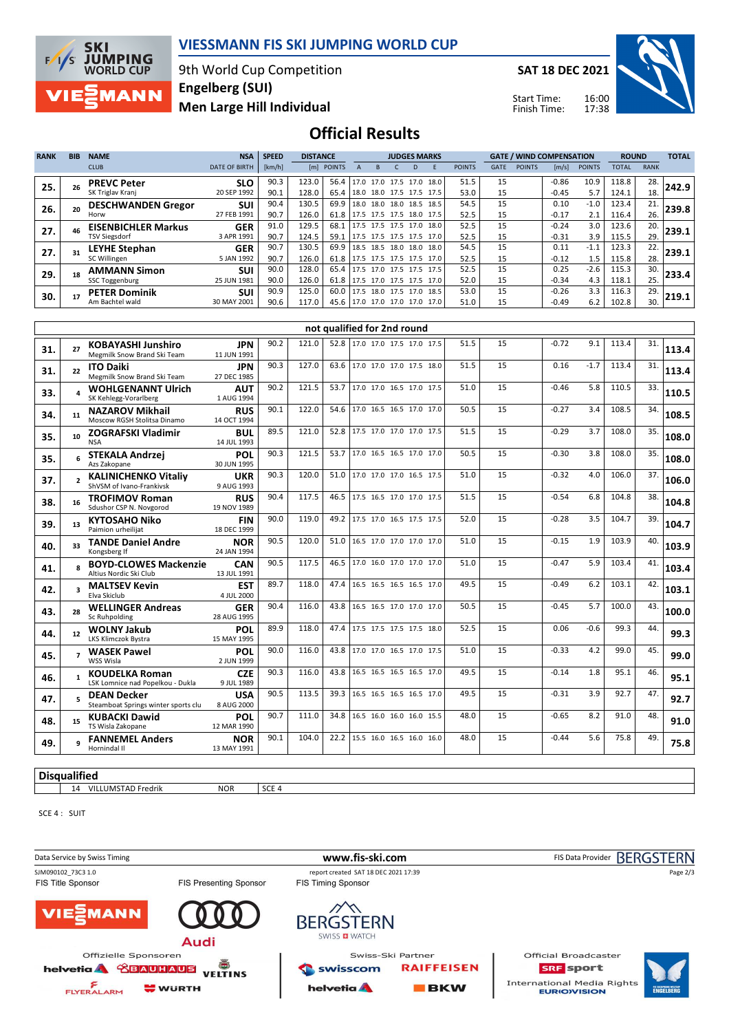

#### **VIESSMANN FIS SKI JUMPING WORLD CUP**

9th World Cup Competition **Men Large Hill Individual Engelberg (SUI)**

**SAT 18 DEC 2021**

Start Time: Finish Time:



## **Official Results**

| <b>RANK</b> | <b>BIB</b>              | <b>NAME</b>                                               | <b>NSA</b>                | <b>SPEED</b> | <b>DISTANCE</b> |                             |                                                      |   |              | <b>JUDGES MARKS</b> |      |               |                 |               | <b>GATE / WIND COMPENSATION</b> |               | <b>ROUND</b>   |             | <b>TOTAL</b> |
|-------------|-------------------------|-----------------------------------------------------------|---------------------------|--------------|-----------------|-----------------------------|------------------------------------------------------|---|--------------|---------------------|------|---------------|-----------------|---------------|---------------------------------|---------------|----------------|-------------|--------------|
|             |                         | <b>CLUB</b>                                               | <b>DATE OF BIRTH</b>      | [km/h]       |                 | [m] POINTS                  | $\mathsf A$                                          | B | $\mathsf{C}$ |                     | E    | <b>POINTS</b> | <b>GATE</b>     | <b>POINTS</b> | [m/s]                           | <b>POINTS</b> | <b>TOTAL</b>   | <b>RANK</b> |              |
| 25.         | 26                      | <b>PREVC Peter</b>                                        | <b>SLO</b>                | 90.3         | 123.0           | 56.4                        | 17.0 17.0 17.5 17.0 18.0                             |   |              |                     |      | 51.5          | 15              |               | $-0.86$                         | 10.9          | 118.8          | 28          | 242.9        |
|             |                         | SK Triglav Kranj                                          | 20 SEP 1992               | 90.1         | 128.0           | 65.4                        | 18.0 18.0 17.5 17.5 17.5                             |   |              |                     |      | 53.0          | 15              |               | $-0.45$                         | 5.7           | 124.1          | 18          |              |
| 26.         | 20                      | <b>DESCHWANDEN Gregor</b><br>Horw                         | <b>SUI</b><br>27 FEB 1991 | 90.4<br>90.7 | 130.5<br>126.0  | 69.9<br>61.8                | 18.0 18.0 18.0 18.5<br>17.5 17.5 17.5 18.0 17.5      |   |              |                     | 18.5 | 54.5<br>52.5  | 15<br>15        |               | 0.10<br>$-0.17$                 | $-1.0$<br>2.1 | 123.4<br>116.4 | 21.<br>26.  | 239.8        |
|             |                         | <b>EISENBICHLER Markus</b>                                | <b>GER</b>                | 91.0         | 129.5           | 68.1                        | 17.5 17.5 17.5 17.0                                  |   |              |                     | 18.0 | 52.5          | $\overline{15}$ |               | $-0.24$                         | 3.0           | 123.6          | 20.         |              |
| 27.         | 46                      | <b>TSV Siegsdorf</b>                                      | 3 APR 1991                | 90.7         | 124.5           | 59.1                        | 17.5 17.5 17.5 17.5                                  |   |              |                     | 17.0 | 52.5          | 15              |               | $-0.31$                         | 3.9           | 115.5          | 29.         | 239.1        |
| 27.         | 31                      | <b>LEYHE Stephan</b>                                      | <b>GER</b>                | 90.7         | 130.5           | 69.9                        | 18.5 18.5 18.0 18.0                                  |   |              |                     | 18.0 | 54.5          | 15              |               | 0.11                            | $-1.1$        | 123.3          | 22.         | 239.1        |
|             |                         | SC Willingen                                              | 5 JAN 1992                | 90.7         | 126.0<br>128.0  | 61.8<br>65.4                | 17.5 17.5 17.5 17.5 17.0<br>17.5 17.0 17.5 17.5 17.5 |   |              |                     |      | 52.5<br>52.5  | 15<br>15        |               | $-0.12$                         | 1.5           | 115.8<br>115.3 | 28.         |              |
| 29.         | 18                      | <b>AMMANN Simon</b><br><b>SSC Toggenburg</b>              | <b>SUI</b><br>25 JUN 1981 | 90.0<br>90.0 | 126.0           | 61.8                        | 17.5 17.0 17.5 17.5 17.0                             |   |              |                     |      | 52.0          | 15              |               | 0.25<br>$-0.34$                 | $-2.6$<br>4.3 | 118.1          | 30.<br>25.  | 233.4        |
|             |                         | <b>PETER Dominik</b>                                      | <b>SUI</b>                | 90.9         | 125.0           | 60.0                        | 17.5 18.0 17.5 17.0 18.5                             |   |              |                     |      | 53.0          | 15              |               | $-0.26$                         | 3.3           | 116.3          | 29.         |              |
| 30.         | 17                      | Am Bachtel wald                                           | 30 MAY 2001               | 90.6         | 117.0           |                             | 45.6 17.0 17.0 17.0 17.0 17.0                        |   |              |                     |      | 51.0          | 15              |               | $-0.49$                         | 6.2           | 102.8          | 30.         | 219.1        |
|             |                         |                                                           |                           |              |                 |                             |                                                      |   |              |                     |      |               |                 |               |                                 |               |                |             |              |
|             |                         |                                                           |                           |              |                 | not qualified for 2nd round |                                                      |   |              |                     |      |               |                 |               |                                 |               |                |             |              |
| 31.         | 27                      | <b>KOBAYASHI Junshiro</b>                                 | <b>JPN</b>                | 90.2         | 121.0           |                             | 52.8 17.0 17.0 17.5 17.0 17.5                        |   |              |                     |      | 51.5          | 15              |               | $-0.72$                         | 9.1           | 113.4          | 31.         | 113.4        |
|             |                         | Megmilk Snow Brand Ski Team                               | 11 JUN 1991               |              |                 |                             |                                                      |   |              |                     |      |               |                 |               |                                 |               |                |             |              |
| 31.         | 22                      | <b>ITO Daiki</b><br>Megmilk Snow Brand Ski Team           | <b>JPN</b><br>27 DEC 1985 | 90.3         | 127.0           | 63.6                        | 17.0 17.0 17.0 17.5 18.0                             |   |              |                     |      | 51.5          | 15              |               | 0.16                            | $-1.7$        | 113.4          | 31.         | 113.4        |
|             |                         | <b>WOHLGENANNT Ulrich</b>                                 | <b>AUT</b>                | 90.2         | 121.5           | 53.7                        | 17.0 17.0 16.5 17.0 17.5                             |   |              |                     |      | 51.0          | 15              |               | $-0.46$                         | 5.8           | 110.5          | 33.         |              |
| 33.         |                         | SK Kehlegg-Vorarlberg                                     | 1 AUG 1994                |              |                 |                             |                                                      |   |              |                     |      |               |                 |               |                                 |               |                |             | 110.5        |
| 34.         | 11                      | <b>NAZAROV Mikhail</b><br>Moscow RGSH Stolitsa Dinamo     | <b>RUS</b><br>14 OCT 1994 | 90.1         | 122.0           | 54.6                        | 17.0 16.5 16.5 17.0 17.0                             |   |              |                     |      | 50.5          | 15              |               | $-0.27$                         | 3.4           | 108.5          | 34.         | 108.5        |
| 35.         | 10                      | <b>ZOGRAFSKI Vladimir</b><br><b>NSA</b>                   | <b>BUL</b><br>14 JUL 1993 | 89.5         | 121.0           | 52.8                        | 17.5 17.0 17.0 17.0 17.5                             |   |              |                     |      | 51.5          | 15              |               | $-0.29$                         | 3.7           | 108.0          | 35.         | 108.0        |
| 35.         |                         | <b>STEKALA Andrzej</b>                                    | POL                       | 90.3         | 121.5           | 53.7                        | 17.0 16.5 16.5 17.0                                  |   |              |                     | 17.0 | 50.5          | 15              |               | $-0.30$                         | 3.8           | 108.0          | 35.         | 108.0        |
|             |                         | Azs Zakopane<br><b>KALINICHENKO Vitaliv</b>               | 30 JUN 1995<br><b>UKR</b> | 90.3         | 120.0           | 51.0                        | 17.0 17.0 17.0 16.5 17.5                             |   |              |                     |      | 51.0          | 15              |               | $-0.32$                         | 4.0           | 106.0          | 37.         |              |
| 37.         | $\overline{2}$          | ShVSM of Ivano-Frankivsk                                  | 9 AUG 1993                |              |                 |                             |                                                      |   |              |                     |      |               |                 |               |                                 |               |                |             | 106.0        |
| 38.         | 16                      | <b>TROFIMOV Roman</b>                                     | <b>RUS</b>                | 90.4         | 117.5           | 46.5                        | 17.5 16.5 17.0 17.0 17.5                             |   |              |                     |      | 51.5          | 15              |               | $-0.54$                         | 6.8           | 104.8          | 38.         | 104.8        |
|             |                         | Sdushor CSP N. Novgorod                                   | 19 NOV 1989               | 90.0         | 119.0           | 49.2                        | 17.5 17.0 16.5 17.5 17.5                             |   |              |                     |      | 52.0          | 15              |               | $-0.28$                         | 3.5           | 104.7          | 39.         |              |
| 39.         | 13                      | <b>KYTOSAHO Niko</b><br>Paimion urheilijat                | <b>FIN</b><br>18 DEC 1999 |              |                 |                             |                                                      |   |              |                     |      |               |                 |               |                                 |               |                |             | 104.7        |
| 40.         | 33                      | <b>TANDE Daniel Andre</b><br>Kongsberg If                 | <b>NOR</b><br>24 JAN 1994 | 90.5         | 120.0           | 51.0                        | 16.5 17.0 17.0 17.0 17.0                             |   |              |                     |      | 51.0          | 15              |               | $-0.15$                         | 1.9           | 103.9          | 40.         | 103.9        |
| 41.         | 8                       | <b>BOYD-CLOWES Mackenzie</b><br>Altius Nordic Ski Club    | <b>CAN</b><br>13 JUL 1991 | 90.5         | 117.5           | 46.5                        | 17.0 16.0 17.0 17.0 17.0                             |   |              |                     |      | 51.0          | 15              |               | $-0.47$                         | 5.9           | 103.4          | 41.         | 103.4        |
| 42.         | $\overline{\mathbf{3}}$ | <b>MALTSEV Kevin</b><br>Elva Skiclub                      | <b>EST</b><br>4 JUL 2000  | 89.7         | 118.0           | 47.4                        | 16.5 16.5 16.5 16.5 17.0                             |   |              |                     |      | 49.5          | 15              |               | $-0.49$                         | 6.2           | 103.1          | 42.         | 103.1        |
| 43.         | 28                      | <b>WELLINGER Andreas</b><br>Sc Ruhpolding                 | <b>GER</b><br>28 AUG 1995 | 90.4         | 116.0           | 43.8                        | 16.5 16.5 17.0 17.0 17.0                             |   |              |                     |      | 50.5          | 15              |               | $-0.45$                         | 5.7           | 100.0          | 43.         | 100.0        |
| 44.         | 12                      | <b>WOLNY Jakub</b>                                        | POL                       | 89.9         | 118.0           | 47.4                        | 17.5 17.5 17.5 17.5 18.0                             |   |              |                     |      | 52.5          | 15              |               | 0.06                            | $-0.6$        | 99.3           | 44.         | 99.3         |
|             |                         | LKS Klimczok Bystra<br><b>WASEK Pawel</b>                 | 15 MAY 1995<br>POL        | 90.0         | 116.0           | 43.8                        | 17.0 17.0 16.5 17.0 17.5                             |   |              |                     |      | 51.0          | 15              |               | $-0.33$                         | 4.2           | 99.0           | 45.         |              |
| 45.         | $\overline{7}$          | WSS Wisla                                                 | 2 JUN 1999                |              |                 |                             |                                                      |   |              |                     |      |               |                 |               |                                 |               |                |             | 99.0         |
| 46.         |                         | <b>KOUDELKA Roman</b><br>LSK Lomnice nad Popelkou - Dukla | <b>CZE</b><br>9 JUL 1989  | 90.3         | 116.0           | 43.8                        | 16.5 16.5 16.5 16.5 17.0                             |   |              |                     |      | 49.5          | 15              |               | $-0.14$                         | 1.8           | 95.1           | 46.         | 95.1         |
| 47.         | 5                       | <b>DEAN Decker</b><br>Steamboat Springs winter sports clu | <b>USA</b><br>8 AUG 2000  | 90.5         | 113.5           | 39.3                        | 16.5 16.5 16.5 16.5 17.0                             |   |              |                     |      | 49.5          | 15              |               | $-0.31$                         | 3.9           | 92.7           | 47.         | 92.7         |
| 48.         | 15                      | <b>KUBACKI Dawid</b><br>TS Wisla Zakopane                 | POL<br>12 MAR 1990        | 90.7         | 111.0           | 34.8                        | 16.5 16.0 16.0 16.0 15.5                             |   |              |                     |      | 48.0          | 15              |               | $-0.65$                         | 8.2           | 91.0           | 48          | 91.0         |
| 49.         | q                       | <b>FANNEMEL Anders</b><br>Hornindal II                    | <b>NOR</b><br>13 MAY 1991 | 90.1         | 104.0           | 22.2                        | 15.5 16.0 16.5 16.0 16.0                             |   |              |                     |      | 48.0          | 15              |               | $-0.44$                         | 5.6           | 75.8           | 49.         | 75.8         |

SCE 4 : SUIT

**Disqualified**

14 VILLUMSTAD Fredrik NOR SCE 4